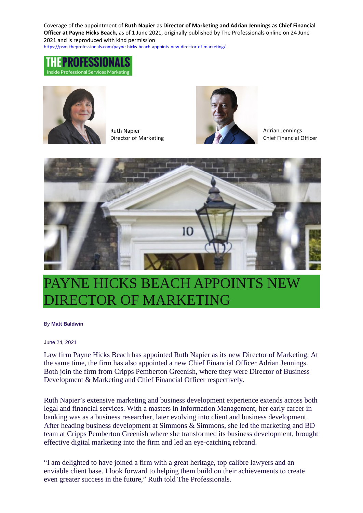Coverage of the appointment of **Ruth Napier** as **Director of Marketing and Adrian Jennings as Chief Financial Officer at Payne Hicks Beach,** as of 1 June 2021, originally published by The Professionals online on 24 June 2021 and is reproduced with kind permission

[https://psm-theprofessionals.com/payne-hicks-beach-appoints-new-director-of-marketing/](https://protect-eu.mimecast.com/s/kRsbCJZ8vFqmA1WTV4Ofk?domain=psm-theprofessionals.com)





Ruth Napier Director of Marketing



Adrian Jennings Chief Financial Officer



## PAYNE HICKS BEACH APPOINTS NEW RECTOR OF MARKETING

## By **[Matt Baldwin](https://psm-theprofessionals.com/author/matt/)**

## June 24, 2021

Law firm Payne Hicks Beach has appointed Ruth Napier as its new Director of Marketing. At the same time, the firm has also appointed a new Chief Financial Officer Adrian Jennings. Both join the firm from Cripps Pemberton Greenish, where they were Director of Business Development & Marketing and Chief Financial Officer respectively.

Ruth Napier's extensive marketing and business development experience extends across both legal and financial services. With a masters in Information Management, her early career in banking was as a business researcher, later evolving into client and business development. After heading business development at Simmons & Simmons, she led the marketing and BD team at Cripps Pemberton Greenish where she transformed its business development, brought effective digital marketing into the firm and led an eye-catching rebrand.

"I am delighted to have joined a firm with a great heritage, top calibre lawyers and an enviable client base. I look forward to helping them build on their achievements to create even greater success in the future," Ruth told The Professionals.